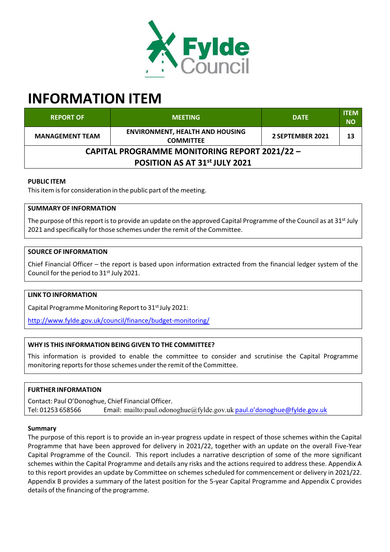

# **INFORMATION ITEM**

| <b>REPORT OF</b>                                     | <b>MEETING</b>                                             | <b>DATE</b>      | <b>ITEM</b><br><b>NO</b> |
|------------------------------------------------------|------------------------------------------------------------|------------------|--------------------------|
| <b>MANAGEMENT TEAM</b>                               | <b>ENVIRONMENT, HEALTH AND HOUSING</b><br><b>COMMITTEE</b> | 2 SEPTEMBER 2021 | 13                       |
| <b>CAPITAL PROGRAMME MONITORING REPORT 2021/22 -</b> |                                                            |                  |                          |
| POSITION AS AT 31 <sup>st</sup> JULY 2021            |                                                            |                  |                          |

## **PUBLIC ITEM**

This item is for consideration in the public part of the meeting.

## **SUMMARY OF INFORMATION**

The purpose of this report is to provide an update on the approved Capital Programme of the Council as at 31<sup>st</sup> July 2021 and specifically for those schemes under the remit of the Committee.

# **SOURCE OF INFORMATION**

Chief Financial Officer – the report is based upon information extracted from the financial ledger system of the Council for the period to 31st July 2021.

#### **LINK TO INFORMATION**

Capital Programme Monitoring Report to 31<sup>st</sup> July 2021:

http://www.fylde.gov.uk/council/finance/budget‐monitoring/

# **WHY IS THIS INFORMATION BEING GIVEN TO THE COMMITTEE?**

This information is provided to enable the committee to consider and scrutinise the Capital Programme monitoring reports for those schemes under the remit of the Committee.

#### **FURTHER INFORMATION**

Contact: Paul O'Donoghue, Chief Financial Officer. Tel: 01253 658566 Email: mailto:paul.odonoghue@fylde.gov.uk paul.o'donoghue@fylde.gov.uk

#### **Summary**

The purpose of this report is to provide an in‐year progress update in respect of those schemes within the Capital Programme that have been approved for delivery in 2021/22, together with an update on the overall Five‐Year Capital Programme of the Council. This report includes a narrative description of some of the more significant schemes within the Capital Programme and details any risks and the actions required to address these. Appendix A to this report provides an update by Committee on schemes scheduled for commencement or delivery in 2021/22. Appendix B provides a summary of the latest position for the 5‐year Capital Programme and Appendix C provides details of the financing of the programme.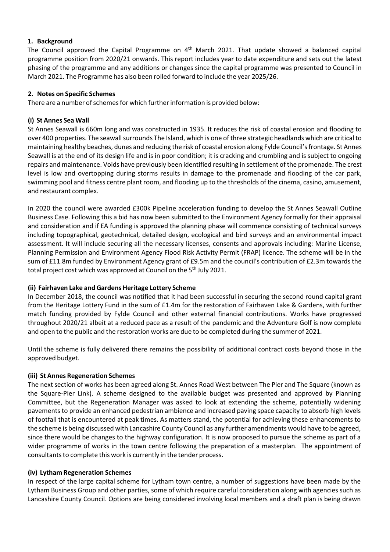## **1. Background**

The Council approved the Capital Programme on 4<sup>th</sup> March 2021. That update showed a balanced capital programme position from 2020/21 onwards. This report includes year to date expenditure and sets out the latest phasing of the programme and any additions or changes since the capital programme was presented to Council in March 2021. The Programme has also been rolled forward to include the year 2025/26.

## **2. Notes on Specific Schemes**

There are a number of schemes for which further information is provided below:

## **(i) St Annes Sea Wall**

St Annes Seawall is 660m long and was constructed in 1935. It reduces the risk of coastal erosion and flooding to over 400 properties. The seawall surrounds The Island, which is one of three strategic headlands which are critical to maintaining healthy beaches, dunes and reducing the risk of coastal erosion along Fylde Council'sfrontage. St Annes Seawall is at the end of its design life and is in poor condition; it is cracking and crumbling and is subject to ongoing repairs and maintenance. Voids have previously been identified resulting in settlement of the promenade. The crest level is low and overtopping during storms results in damage to the promenade and flooding of the car park, swimming pool and fitness centre plant room, and flooding up to the thresholds of the cinema, casino, amusement, and restaurant complex.

In 2020 the council were awarded £300k Pipeline acceleration funding to develop the St Annes Seawall Outline Business Case. Following this a bid has now been submitted to the Environment Agency formally for their appraisal and consideration and if EA funding is approved the planning phase will commence consisting of technical surveys including topographical, geotechnical, detailed design, ecological and bird surveys and an environmental impact assessment. It will include securing all the necessary licenses, consents and approvals including: Marine License, Planning Permission and Environment Agency Flood Risk Activity Permit (FRAP) licence. The scheme will be in the sum of £11.8m funded by Environment Agency grant of £9.5m and the council's contribution of £2.3m towards the total project cost which was approved at Council on the 5<sup>th</sup> July 2021.

# **(ii) Fairhaven Lake and Gardens Heritage Lottery Scheme**

In December 2018, the council was notified that it had been successful in securing the second round capital grant from the Heritage Lottery Fund in the sum of £1.4m for the restoration of Fairhaven Lake & Gardens, with further match funding provided by Fylde Council and other external financial contributions. Works have progressed throughout 2020/21 albeit at a reduced pace as a result of the pandemic and the Adventure Golf is now complete and open to the public and the restoration works are due to be completed during the summer of 2021.

Until the scheme is fully delivered there remains the possibility of additional contract costs beyond those in the approved budget.

#### **(iii) St Annes Regeneration Schemes**

The next section of works has been agreed along St. Annes Road West between The Pier and The Square (known as the Square‐Pier Link). A scheme designed to the available budget was presented and approved by Planning Committee, but the Regeneration Manager was asked to look at extending the scheme, potentially widening pavements to provide an enhanced pedestrian ambience and increased paving space capacity to absorb high levels of footfall that is encountered at peak times. As matters stand, the potential for achieving these enhancements to the scheme is being discussed with Lancashire County Council as any further amendments would have to be agreed, since there would be changes to the highway configuration. It is now proposed to pursue the scheme as part of a wider programme of works in the town centre following the preparation of a masterplan. The appointment of consultants to complete this work is currently in the tender process.

#### **(iv) Lytham Regeneration Schemes**

In respect of the large capital scheme for Lytham town centre, a number of suggestions have been made by the Lytham Business Group and other parties, some of which require careful consideration along with agencies such as Lancashire County Council. Options are being considered involving local members and a draft plan is being drawn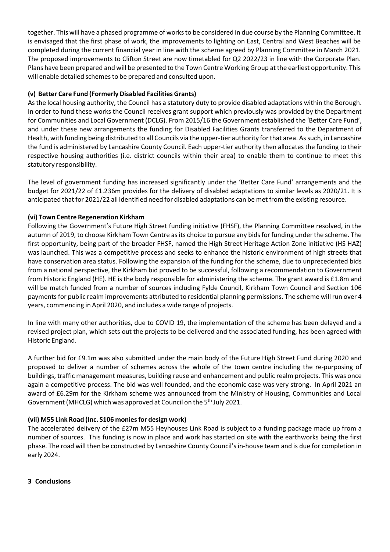together. This will have a phased programme of worksto be considered in due course by the Planning Committee. It is envisaged that the first phase of work, the improvements to lighting on East, Central and West Beaches will be completed during the current financial year in line with the scheme agreed by Planning Committee in March 2021. The proposed improvements to Clifton Street are now timetabled for Q2 2022/23 in line with the Corporate Plan. Plans have been prepared and will be presented to the Town Centre Working Group at the earliest opportunity. This will enable detailed schemes to be prepared and consulted upon.

# **(v) Better Care Fund (Formerly Disabled Facilities Grants)**

Asthe local housing authority, the Council has a statutory duty to provide disabled adaptations within the Borough. In order to fund these works the Council receives grant support which previously was provided by the Department for Communities and Local Government (DCLG). From 2015/16 the Government established the 'Better Care Fund', and under these new arrangements the funding for Disabled Facilities Grants transferred to the Department of Health, with funding being distributed to all Councils via the upper-tier authority for that area. As such, in Lancashire the fund is administered by Lancashire County Council. Each upper-tier authority then allocates the funding to their respective housing authorities (i.e. district councils within their area) to enable them to continue to meet this statutory responsibility.

The level of government funding has increased significantly under the 'Better Care Fund' arrangements and the budget for 2021/22 of £1.236m provides for the delivery of disabled adaptations to similar levels as 2020/21. It is anticipated that for 2021/22 all identified need for disabled adaptations can be met from the existing resource.

# **(vi) Town Centre Regeneration Kirkham**

Following the Government's Future High Street funding initiative (FHSF), the Planning Committee resolved, in the autumn of 2019, to choose Kirkham Town Centre as its choice to pursue any bids for funding under the scheme. The first opportunity, being part of the broader FHSF, named the High Street Heritage Action Zone initiative (HS HAZ) was launched. This was a competitive process and seeks to enhance the historic environment of high streets that have conservation area status. Following the expansion of the funding for the scheme, due to unprecedented bids from a national perspective, the Kirkham bid proved to be successful, following a recommendation to Government from Historic England (HE). HE is the body responsible for administering the scheme. The grant award is £1.8m and will be match funded from a number of sources including Fylde Council, Kirkham Town Council and Section 106 payments for public realm improvements attributed to residential planning permissions. The scheme will run over 4 years, commencing in April 2020, and includes a wide range of projects.

In line with many other authorities, due to COVID 19, the implementation of the scheme has been delayed and a revised project plan, which sets out the projects to be delivered and the associated funding, has been agreed with Historic England.

A further bid for £9.1m was also submitted under the main body of the Future High Street Fund during 2020 and proposed to deliver a number of schemes across the whole of the town centre including the re‐purposing of buildings, traffic management measures, building reuse and enhancement and public realm projects. This was once again a competitive process. The bid was well founded, and the economic case was very strong. In April 2021 an award of £6.29m for the Kirkham scheme was announced from the Ministry of Housing, Communities and Local Government (MHCLG) which was approved at Council on the 5<sup>th</sup> July 2021.

# **(vii) M55 Link Road (Inc. S106 moniesfor design work)**

The accelerated delivery of the £27m M55 Heyhouses Link Road is subject to a funding package made up from a number of sources. This funding is now in place and work has started on site with the earthworks being the first phase. The road will then be constructed by Lancashire County Council's in-house team and is due for completion in early 2024.

**3 Conclusions**